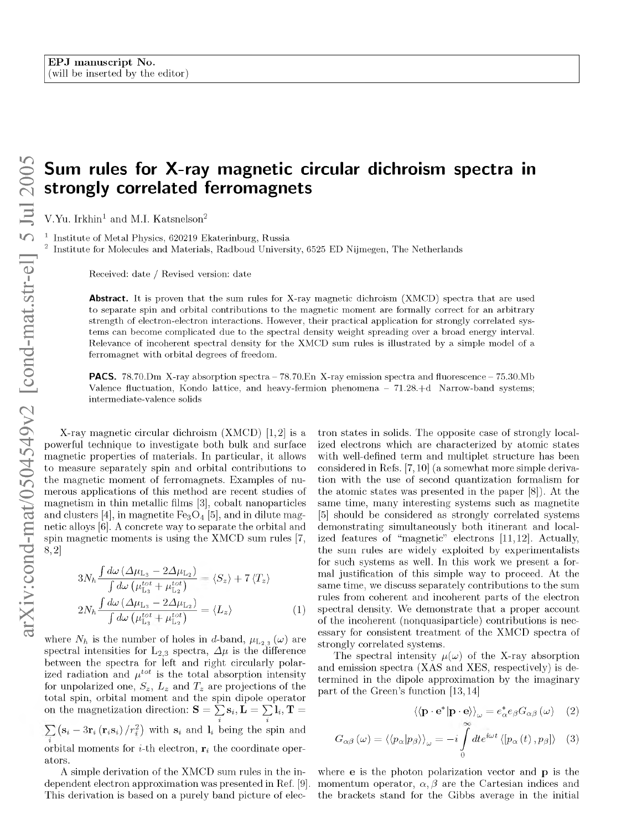## <span id="page-0-1"></span>**Sum rules for X-ray magnetic circular dichroism spectra in strongly correlated ferromagnets**

V.Yu. Irkhin<sup>1</sup> and M.I. Katsnelson<sup>2</sup>

Institute of Metal Physics, 620219 Ekaterinburg, Russia Institute for Molecules and Materials, Radboud University, 6525 ED Nijmegen, The Netherlands

Received: date / Revised version: date

**Abstract.** It is proven that the sum rules for X-ray magnetic dichroism (XMCD) spectra that are used to separate spin and orbital contributions to the magnetic moment are formally correct for an arbitrary strength of electron-electron interactions. However, their practical application for strongly correlated systems can become complicated due to the spectral density weight spreading over a broad energy interval. Relevance of incoherent spectral density for the XMCD sum rules is illustrated by a simple model of a ferromagnet with orbital degrees of freedom.

**PACS.**  $78.70 \text{ Dm}$  X-ray absorption spectra  $-78.70 \text{ En}$  X-ray emission spectra and fluorescence  $-75.30 \text{ Mb}$ Valence fluctuation, Kondo lattice, and heavy-fermion phenomena  $-71.28.+d$  Narrow-band systems; interm ediate-valence solids

X-ray magnetic circular dichroism (XMCD) [\[1,2\]](#page-2-0) is a powerful technique to investigate both bulk and surface magnetic properties of materials. In particular, it allows to measure separately spin and orbital contributions to the magnetic moment of ferromagnets. Examples of numerous applications of this method are recent studies of magnetism in thin metallic films [\[3\]](#page-2-0), cobalt nanoparticles and clusters [\[4\]](#page-2-0), in magnetite  $Fe<sub>3</sub>O<sub>4</sub>$  [\[5\],](#page-3-0) and in dilute magnetic alloys [\[6\]](#page-3-1). A concrete way to separate the orbital and spin magnetic moments is using the XMCD sum rules [\[7,](#page-3-2)  [8,](#page-3-2)[2\]](#page-2-0)

$$
3N_h \frac{\int d\omega \left(\Delta \mu_{L_3} - 2\Delta \mu_{L_2}\right)}{\int d\omega \left(\mu_{L_3}^{tot} + \mu_{L_2}^{tot}\right)} = \langle S_z \rangle + 7 \langle T_z \rangle
$$
  

$$
2N_h \frac{\int d\omega \left(\Delta \mu_{L_3} - 2\Delta \mu_{L_2}\right)}{\int d\omega \left(\mu_{L_3}^{tot} + \mu_{L_2}^{tot}\right)} = \langle L_z \rangle \tag{1}
$$

where  $N_h$  is the number of holes in d-band,  $\mu_{L_{2,3}}(\omega)$  are spectral intensities for  $L_{2,3}$  spectra,  $\Delta \mu$  is the difference between the spectra for left and right circularly polarized radiation and  $\mu^{tot}$  is the total absorption intensity for unpolarized one,  $S_z$ ,  $L_z$  and  $T_z$  are projections of the total spin, orbital moment and the spin dipole operator on the magnetization direction:  $\mathbf{S} = \sum \mathbf{s}_i, \mathbf{L} = \sum \mathbf{l}_i, \mathbf{T} =$  $\overline{i}$  i  $(s_i - 3r_i (r_i s_i) / r_i^2)$  with  $s_i$  and  $l_i$  being the spin and i orbital moments for  $i$ -th electron,  $r_i$  the coordinate operators.

A simple derivation of the XMCD sum rules in the independent electron approximation was presented in Ref. [\[9\]](#page-3-3). This derivation is based on a purely band picture of electron states in solids. The opposite case of strongly localized electrons which are characterized by atomic states with well-defined term and multiplet structure has been considered in Refs. [\[7,](#page-3-2)[10\]](#page-3-4) (a somewhat more simple derivation with the use of second quantization formalism for the atomic states was presented in the paper [\[8\]](#page-3-2)). At the same time, many interesting systems such as magnetite [\[5\]](#page-3-0) should be considered as strongly correlated systems demonstrating simultaneously both itinerant and localized features of "magnetic" electrons [\[11,](#page-3-5)[12\]](#page-3-6). Actually, the sum rules are widely exploited by experimentalists for such systems as well. In this work we present a formal justification of this simple way to proceed. At the same time, we discuss separately contributions to the sum rules from coherent and incoherent parts of the electron spectral density. We demonstrate that a proper account of the incoherent (nonquasiparticle) contributions is necessary for consistent treatment of the XMCD spectra of strongly correlated systems.

<span id="page-0-0"></span>The spectral intensity  $\mu(\omega)$  of the X-ray absorption and emission spectra (XAS and XES, respectively) is determined in the dipole approximation by the imaginary part of the Green's function [\[13,](#page-3-6)[14\]](#page-3-7)

$$
\langle \langle \mathbf{p} \cdot \mathbf{e}^* | \mathbf{p} \cdot \mathbf{e} \rangle \rangle_{\omega} = e_{\alpha}^* e_{\beta} G_{\alpha \beta} (\omega) \quad (2)
$$

$$
G_{\alpha\beta}(\omega) = \langle \langle p_{\alpha} | p_{\beta} \rangle \rangle_{\omega} = -i \int_{0}^{\cdot} dt e^{i\omega t} \langle [p_{\alpha}(t), p_{\beta}] \rangle \quad (3)
$$

where **e** is the photon polarization vector and **p** is the momentum operator,  $\alpha$ ,  $\beta$  are the Cartesian indices and the brackets stand for the Gibbs average in the initial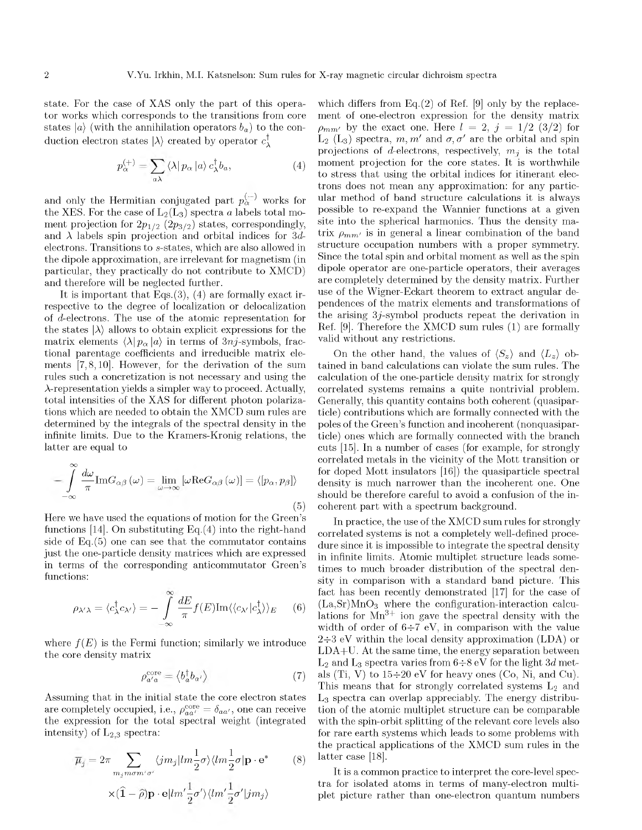<span id="page-1-0"></span>state. For the case of XAS only the part of this operator works which corresponds to the transitions from core states  $|a\rangle$  (with the annihilation operators  $b_a$ ) to the conduction electron states  $|\lambda\rangle$  created by operator  $c_1^{\dagger}$ 

$$
p_{\alpha}^{(+)} = \sum_{a\lambda} \langle \lambda | \, p_{\alpha} \, | a \rangle \, c_{\lambda}^{\dagger} b_{a}, \tag{4}
$$

and only the Hermitian conjugated part  $p_{\alpha}^{(-)}$  works for the XES. For the case of  $\mathrm{L}_{2}(\mathrm{L}_{3})$  spectra *a* labels total moment projection for  $2p_{1/2}$  ( $2p_{3/2}$ ) states, correspondingly, and  $\lambda$  labels spin projection and orbital indices for 3delectrons. Transitions to s-states, which are also allowed in the dipole approximation, are irrelevant for magnetism (in particular, they practically do not contribute to XMCD) and therefore will be neglected further.

<span id="page-1-1"></span>It is important that Eqs. $(3)$ ,  $(4)$  are formally exact irrespective to the degree of localization or delocalization of d-electrons. The use of the atomic representation for the states  $|\lambda\rangle$  allows to obtain explicit expressions for the matrix elements  $\langle \lambda | p_{\alpha} | a \rangle$  in terms of 3*nj*-symbols, fractional parentage coefficients and irreducible matrix elements [\[7,8 ,](#page-3-2)[10\].](#page-3-4) However, for the derivation of the sum rules such a concretization is not necessary and using the A-representation yields a simpler way to proceed. Actually, total intensities of the XAS for different photon polarizations which are needed to obtain the XMCD sum rules are determined by the integrals of the spectral density in the infinite limits. Due to the Kramers-Kronig relations, the latter are equal to

$$
-\int_{-\infty}^{\infty} \frac{d\omega}{\pi} \text{Im} G_{\alpha\beta}(\omega) = \lim_{\omega \to \infty} [\omega \text{Re} G_{\alpha\beta}(\omega)] = \langle [p_{\alpha}, p_{\beta}] \rangle
$$
\n(5)

Here we have used the equations of motion for the Green's functions  $[14]$ . On substituting Eq. $(4)$  into the right-hand side of  $Eq.(5)$  $Eq.(5)$  one can see that the commutator contains just the one-particle density matrices which are expressed in terms of the corresponding anticommutator Green's functions:

$$
\rho_{\lambda'\lambda} = \langle c^{\dagger}_{\lambda} c_{\lambda'} \rangle = - \int_{-\infty}^{\infty} \frac{dE}{\pi} f(E) \text{Im} \langle \langle c_{\lambda'} | c^{\dagger}_{\lambda} \rangle \rangle_{E} \qquad (6)
$$

where  $f(E)$  is the Fermi function; similarly we introduce the core density matrix

$$
\rho_{a'a}^{\text{core}} = \langle b_a^{\dagger} b_{a'} \rangle \tag{7}
$$

Assuming that in the initial state the core electron states are completely occupied, i.e.,  $\rho_{aa'}^{\text{core}} = \delta_{aa'}$ , one can receive the expression for the total spectral weight (integrated intensity) of  $L_{2,3}$  spectra:

$$
\overline{\mu}_{j} = 2\pi \sum_{m_{j}m\sigma m'\sigma'} \langle jm_{j}|lm\frac{1}{2}\sigma\rangle \langle lm\frac{1}{2}\sigma|\mathbf{p}\cdot\mathbf{e}^{*} \qquad (8)
$$

$$
\times(\hat{\mathbf{1}}-\hat{\rho})\mathbf{p}\cdot\mathbf{e}|lm'\frac{1}{2}\sigma'\rangle \langle lm'\frac{1}{2}\sigma'|jm_{j}\rangle
$$

which differs from  $Eq.(2)$  of Ref. [\[9\]](#page-3-3) only by the replacement of one-electron expression for the density matrix  $\rho_{mm'}$  by the exact one. Here  $l = 2, j = 1/2$  (3/2) for  $L_2$  ( $L_3$ ) spectra,  $m, m'$  and  $\sigma, \sigma'$  are the orbital and spin projections of *d*-electrons, respectively,  $m_i$  is the total moment projection for the core states. It is worthwhile to stress that using the orbital indices for itinerant electrons does not mean any approximation: for any particular method of band structure calculations it is always possible to re-expand the Wannier functions at a given site into the spherical harmonics. Thus the density matrix  $\rho_{mm'}$  is in general a linear combination of the band structure occupation numbers with a proper symmetry. Since the total spin and orbital moment as well as the spin dipole operator are one-particle operators, their averages are completely determined by the density matrix. Further use of the Wigner-Eckart theorem to extract angular dependences of the matrix elements and transformations of the arising 3j-symbol products repeat the derivation in Ref. [\[9\]](#page-3-3). Therefore the XMCD sum rules [\(1\)](#page-0-1) are formally valid without any restrictions.

On the other hand, the values of  $\langle S_z \rangle$  and  $\langle L_z \rangle$  obtained in band calculations can violate the sum rules. The calculation of the one-particle density matrix for strongly correlated systems remains a quite nontrivial problem. Generally, this quantity contains both coherent (quasiparticle) contributions which are formally connected with the poles of the Green's function and incoherent (nonquasiparticle) ones which are formally connected with the branch cuts [\[15\].](#page-3-8) In a number of cases (for example, for strongly correlated metals in the vicinity of the Mott transition or for doped Mott insulators [\[16\]](#page-3-8)) the quasiparticle spectral density is much narrower than the incoherent one. One should be therefore careful to avoid a confusion of the incoherent part with a spectrum background.

In practice, the use of the XMCD sum rules for strongly correlated systems is not a completely well-defined procedure since it is impossible to integrate the spectral density in infinite limits. Atomic multiplet structure leads sometimes to much broader distribution of the spectral density in comparison with a standard band picture. This fact has been recently demonstrated [\[17\]](#page-3-9) for the case of  $(La, Sr)MnO<sub>3</sub>$  where the configuration-interaction calculations for  $Mn^{3+}$  ion gave the spectral density with the width of order of  $6\div 7$  eV, in comparison with the value  $2\div 3$  eV within the local density approximation (LDA) or LDA+U. At the same time, the energy separation between  $L_2$  and  $L_3$  spectra varies from  $6\div 8$  eV for the light 3d metals (Ti, V) to  $15\div 20$  eV for heavy ones (Co, Ni, and Cu). This means that for strongly correlated systems  $L_2$  and L3 spectra can overlap appreciably. The energy distribution of the atomic multiplet structure can be comparable with the spin-orbit splitting of the relevant core levels also for rare earth systems which leads to some problems with the practical applications of the XMCD sum rules in the latter case [\[18\]](#page-3-10).

It is a common practice to interpret the core-level spectra for isolated atoms in terms of many-electron multiplet picture rather than one-electron quantum numbers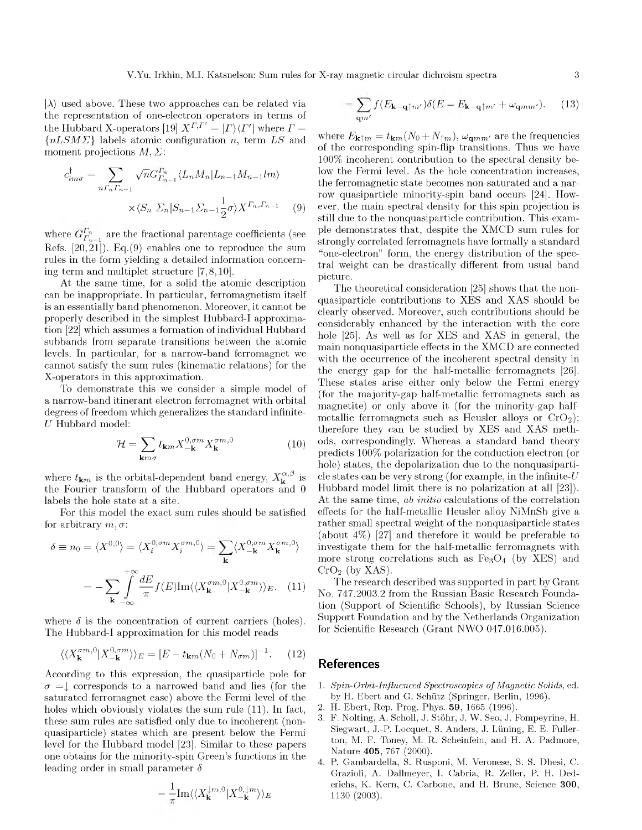<span id="page-2-1"></span> $|\lambda\rangle$  used above. These two approaches can be related via the representation of one-electron operators in terms of the Hubbard X-operators [\[19\]](#page-3-10)  $X^{\Gamma,\Gamma'} = | \Gamma \rangle \langle \Gamma' |$  where  $\Gamma =$  ${nLSM\Sigma}$  labels atomic configuration n, term LS and moment projections  $M, \Sigma$ :

$$
c_{lm\sigma}^{\dagger} = \sum_{n\Gamma_n\Gamma_{n-1}} \sqrt{n} G_{\Gamma_{n-1}}^{\Gamma_n} \langle L_n M_n | L_{n-1} M_{n-1} l m \rangle
$$

$$
\times \langle S_n \Sigma_n | S_{n-1} \Sigma_{n-1} \frac{1}{2} \sigma \rangle X^{\Gamma_n, \Gamma_{n-1}} \qquad (9)
$$

where  $G_{F_{n-1}}^{F_n}$  are the fractional parentage coefficients (see Refs.  $[20, 21]$  $[20, 21]$ . Eq.[\(9\)](#page-2-1) enables one to reproduce the sum rules in the form yielding a detailed information concerning term and multiplet structure [\[7,8 ,](#page-3-2)[10\].](#page-3-4)

At the same time, for a solid the atomic description can be inappropriate. In particular, ferromagnetism itself is an essentially band phenomenon. Moreover, it cannot be properly described in the simplest Hubbard-I approximation [\[22\]](#page-3-13) which assumes a formation of individual Hubbard subbands from separate transitions between the atomic levels. In particular, for a narrow-band ferromagnet we cannot satisfy the sum rules (kinematic relations) for the X-operators in this approximation.

To demonstrate this we consider a simple model of a narrow-band itinerant electron ferromagnet with orbital degrees of freedom which generalizes the standard infinite-U Hubbard model:

$$
\mathcal{H} = \sum_{\mathbf{k}m\sigma} t_{\mathbf{k}m} X_{-\mathbf{k}}^{0,\sigma m} X_{\mathbf{k}}^{\sigma m,0}
$$
 (10)

where  $t_{\mathbf{k}m}$  is the orbital-dependent band energy,  $X_{\mathbf{k}}^{\alpha,\beta}$  is the Fourier transform of the Hubbard operators and 0 labels the hole state at a site.

For this model the exact sum rules should be satisfied for arbitrary  $m, \sigma$ :

<span id="page-2-2"></span>
$$
\delta \equiv n_0 = \langle X^{0,0} \rangle = \langle X_i^{0,\sigma m} X_i^{\sigma m,0} \rangle = \sum_{\mathbf{k}} \langle X_{-\mathbf{k}}^{0,\sigma m} X_{\mathbf{k}}^{\sigma m,0} \rangle
$$

$$
= -\sum_{\mathbf{k}} \int_{-\infty}^{+\infty} \frac{dE}{\pi} f(E) \text{Im} \langle \langle X_{\mathbf{k}}^{\sigma m,0} | X_{-\mathbf{k}}^{0,\sigma m} \rangle \rangle_E. \quad (11)
$$

where  $\delta$  is the concentration of current carriers (holes). The Hubbard-I approximation for this model reads

$$
\langle \langle X_{\mathbf{k}}^{\sigma m,0} | X_{-\mathbf{k}}^{0,\sigma m} \rangle \rangle_E = [E - t_{\mathbf{k}m} (N_0 + N_{\sigma m})]^{-1}.
$$
 (12)

<span id="page-2-0"></span>According to this expression, the quasiparticle pole for  $\sigma = \downarrow$  corresponds to a narrowed band and lies (for the saturated ferromagnet case) above the Fermi level of the holes which obviously violates the sum rule  $(11)$ . In fact, these sum rules are satisfied only due to incoherent (nonquasiparticle) states which are present below the Fermi level for the Hubbard model [\[23\].](#page-3-14) Similar to these papers one obtains for the minority-spin Green's functions in the leading order in small parameter  $\delta$ 

$$
-\frac{1}{\pi}\mathrm{Im}\langle\langle X_{\mathbf{k}}^{\downarrow m,0}|X_{-\mathbf{k}}^{0,\downarrow m}\rangle\rangle_{E}
$$

$$
= \sum_{\mathbf{q}m'} f(E_{\mathbf{k}-\mathbf{q}\uparrow m'}) \delta(E - E_{\mathbf{k}-\mathbf{q}\uparrow m'} + \omega_{\mathbf{q}mm'}). \tag{13}
$$

where  $E_{\mathbf{k}\uparrow m} = t_{\mathbf{k}m}(N_0 + N_{\uparrow m})$ ,  $\omega_{\mathbf{q}mm'}$  are the frequencies of the corresponding spin-flip transitions. Thus we have 100% incoherent contribution to the spectral density below the Fermi level. As the hole concentration increases, the ferromagnetic state becomes non-saturated and a narrow quasiparticle minority-spin band occurs [\[24\].](#page-3-15) However, the main spectral density for this spin projection is still due to the nonquasiparticle contribution. This example demonstrates that, despite the XMCD sum rules for strongly correlated ferromagnets have formally a standard "one-electron" form, the energy distribution of the spectral weight can be drastically different from usual band picture.

The theoretical consideration [\[25\]](#page-3-16) shows that the nonquasiparticle contributions to XES and XAS should be clearly observed. Moreover, such contributions should be considerably enhanced by the interaction with the core hole [\[25\].](#page-3-16) As well as for XES and XAS in general, the main nonquasiparticle effects in the XMCD are connected with the occurrence of the incoherent spectral density in the energy gap for the half-metallic ferromagnets [\[26\].](#page-3-17) These states arise either only below the Fermi energy (for the majority-gap half-metallic ferromagnets such as magnetite) or only above it (for the minority-gap halfmetallic ferromagnets such as Heusler alloys or  $C<sub>r</sub>O<sub>2</sub>$ ; therefore they can be studied by XES and XAS methods, correspondingly. Whereas a standard band theory predicts 100% polarization for the conduction electron (or hole) states, the depolarization due to the nonquasiparticle states can be very strong (for example, in the infinite- $U$ Hubbard model limit there is no polarization at all [\[23\]](#page-3-14)). At the same time, *ab initio* calculations of the correlation effects for the half-metallic Heusler alloy NiMnSb give a rather small spectral weight of the nonquasiparticle states (about 4%) [\[27\]](#page-3-18) and therefore it would be preferable to investigate them for the half-metallic ferromagnets with more strong correlations such as  $Fe<sub>3</sub>O<sub>4</sub>$  (by XES) and  $CrO<sub>2</sub>$  (by XAS).

The research described was supported in part by Grant No. 747.2003.2 from the Russian Basic Research Foundation (Support of Scientific Schools), by Russian Science Support Foundation and by the Netherlands Organization for Scientific Research (Grant NWO 047.016.005).

## **References**

- 1. *Spin-Orbit-Influenced Spectroscopies of Magnetic Solids*, ed. by H. Ebert and G. Schütz (Springer, Berlin, 1996).
- 2. H. Ebert, Rep. Prog. Phys. 59, 1665 (1996).
- 3. F. Nolting, A. Scholl, J. Stöhr, J. W. Seo, J. Fompeyrine, H. Siegwart, J.-P. Locquet, S. Anders, J. Lüning, E. E. Fullerton, M. F. Toney, M. R. Scheinfein, and H. A. Padmore, Nature 405, 767 (2000).
- 4. P. Gambardella, S. Rusponi, M. Veronese, S. S. Dhesi, C. Grazioli, A. Dallmeyer, I. Cabria, R. Zeller, P. H. Dederichs, K. Kern, C. Carbone, and H. Brune, Science 300, 1130 (2003).